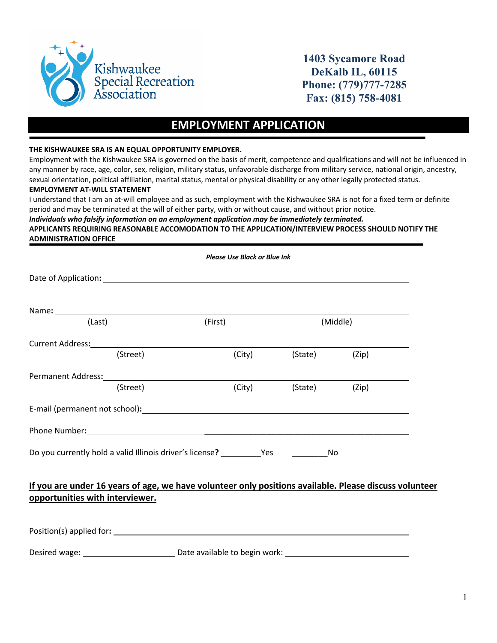

**1403 Sycamore Road DeKalb IL, 60115 Phone: (779)777-7285 Fax: (815) 758-4081**

# **EMPLOYMENT APPLICATION**

#### **THE KISHWAUKEE SRA IS AN EQUAL OPPORTUNITY EMPLOYER.**

Employment with the Kishwaukee SRA is governed on the basis of merit, competence and qualifications and will not be influenced in any manner by race, age, color, sex, religion, military status, unfavorable discharge from military service, national origin, ancestry, sexual orientation, political affiliation, marital status, mental or physical disability or any other legally protected status.

#### **EMPLOYMENT AT-WILL STATEMENT**

I understand that I am an at-will employee and as such, employment with the Kishwaukee SRA is not for a fixed term or definite period and may be terminated at the will of either party, with or without cause, and without prior notice.

*Individuals who falsify information on an employment application may be immediately terminated.* **APPLICANTS REQUIRING REASONABLE ACCOMODATION TO THE APPLICATION/INTERVIEW PROCESS SHOULD NOTIFY THE ADMINISTRATION OFFICE**

|                                                                                                                                                                                                                                | <b>Please Use Black or Blue Ink</b> |         |          |  |  |  |
|--------------------------------------------------------------------------------------------------------------------------------------------------------------------------------------------------------------------------------|-------------------------------------|---------|----------|--|--|--|
|                                                                                                                                                                                                                                |                                     |         |          |  |  |  |
| Name: (Last) (First)                                                                                                                                                                                                           |                                     |         |          |  |  |  |
|                                                                                                                                                                                                                                |                                     |         | (Middle) |  |  |  |
|                                                                                                                                                                                                                                |                                     |         |          |  |  |  |
| (Street)                                                                                                                                                                                                                       | (City)                              | (State) | (Zip)    |  |  |  |
| Permanent Address: 1988 and 2008 and 2010 and 2010 and 2010 and 2010 and 2010 and 2010 and 2010 and 2010 and 20                                                                                                                |                                     |         |          |  |  |  |
| (Street)                                                                                                                                                                                                                       | (City)                              | (State) | (Zip)    |  |  |  |
| E-mail (permanent not school): example and the set of the set of the set of the set of the set of the set of the set of the set of the set of the set of the set of the set of the set of the set of the set of the set of the |                                     |         |          |  |  |  |
|                                                                                                                                                                                                                                |                                     |         |          |  |  |  |
| Do you currently hold a valid Illinois driver's license? ____________Yes _________________No                                                                                                                                   |                                     |         |          |  |  |  |
| If you are under 16 years of age, we have volunteer only positions available. Please discuss volunteer                                                                                                                         |                                     |         |          |  |  |  |
| opportunities with interviewer.                                                                                                                                                                                                |                                     |         |          |  |  |  |
|                                                                                                                                                                                                                                |                                     |         |          |  |  |  |
|                                                                                                                                                                                                                                |                                     |         |          |  |  |  |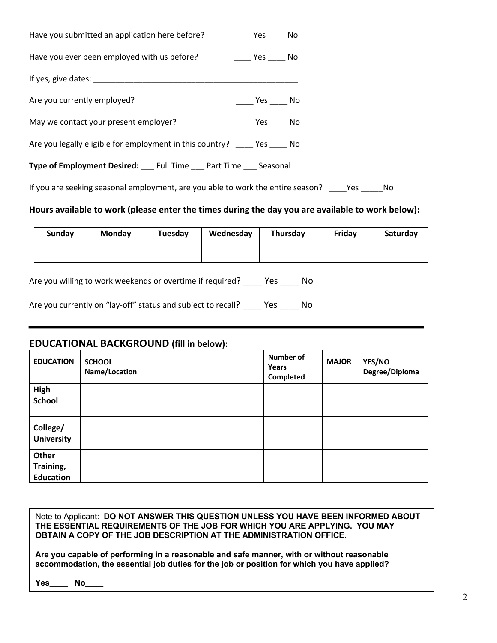| Type of Employment Desired: ___ Full Time ___ Part Time ___ Seasonal         |           |
|------------------------------------------------------------------------------|-----------|
| Are you legally eligible for employment in this country? ______ Yes _____ No |           |
| May we contact your present employer?                                        | No Ves No |
| Are you currently employed?                                                  | Yes No    |
|                                                                              |           |
| Have you ever been employed with us before?                                  | Yes No    |
| Have you submitted an application here before? _________ Yes ______ No       |           |

If you are seeking seasonal employment, are you able to work the entire season?\_\_\_\_Yes \_\_\_\_\_No

### **Hours available to work (please enter the times during the day you are available to work below):**

| Sunday | <b>Monday</b> | Tuesday | Wednesday | Thursday | Friday | Saturdav |
|--------|---------------|---------|-----------|----------|--------|----------|
|        |               |         |           |          |        |          |
|        |               |         |           |          |        |          |

Are you willing to work weekends or overtime if required? \_\_\_\_ Yes \_\_\_\_ No

| Are you currently on "lay-off" status and subject to recall? | Yes | - No |
|--------------------------------------------------------------|-----|------|
|--------------------------------------------------------------|-----|------|

# **EDUCATIONAL BACKGROUND (fill in below):**

| <b>EDUCATION</b>                       | <b>SCHOOL</b><br>Name/Location | <b>Number of</b><br>Years<br>Completed | <b>MAJOR</b> | YES/NO<br>Degree/Diploma |
|----------------------------------------|--------------------------------|----------------------------------------|--------------|--------------------------|
| High<br><b>School</b>                  |                                |                                        |              |                          |
| College/<br><b>University</b>          |                                |                                        |              |                          |
| Other<br>Training,<br><b>Education</b> |                                |                                        |              |                          |

Note to Applicant: **DO NOT ANSWER THIS QUESTION UNLESS YOU HAVE BEEN INFORMED ABOUT THE ESSENTIAL REQUIREMENTS OF THE JOB FOR WHICH YOU ARE APPLYING. YOU MAY OBTAIN A COPY OF THE JOB DESCRIPTION AT THE ADMINISTRATION OFFICE.**

**Are you capable of performing in a reasonable and safe manner, with or without reasonable accommodation, the essential job duties for the job or position for which you have applied?** 

**Wes** No. **Yes\_\_\_\_ No\_\_\_\_**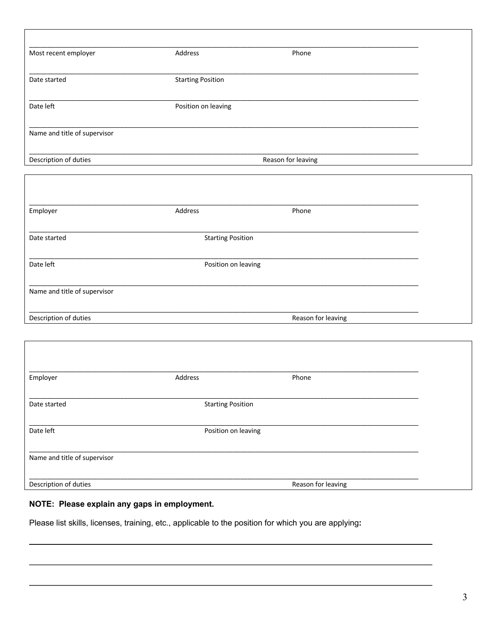| Most recent employer         | Address                  | Phone              |  |
|------------------------------|--------------------------|--------------------|--|
| Date started                 | <b>Starting Position</b> |                    |  |
| Date left                    | Position on leaving      |                    |  |
| Name and title of supervisor |                          |                    |  |
| Description of duties        |                          | Reason for leaving |  |

| Employer                     | Address                  | Phone              |
|------------------------------|--------------------------|--------------------|
| Date started                 | <b>Starting Position</b> |                    |
|                              |                          |                    |
| Date left                    | Position on leaving      |                    |
| Name and title of supervisor |                          |                    |
| Description of duties        |                          | Reason for leaving |

| Employer                     | Address                  | Phone              |  |
|------------------------------|--------------------------|--------------------|--|
|                              |                          |                    |  |
| Date started                 | <b>Starting Position</b> |                    |  |
|                              |                          |                    |  |
| Date left                    | Position on leaving      |                    |  |
| Name and title of supervisor |                          |                    |  |
|                              |                          |                    |  |
| Description of duties        |                          | Reason for leaving |  |

## NOTE: Please explain any gaps in employment.

 $\Gamma$ 

Please list skills, licenses, training, etc., applicable to the position for which you are applying:

٦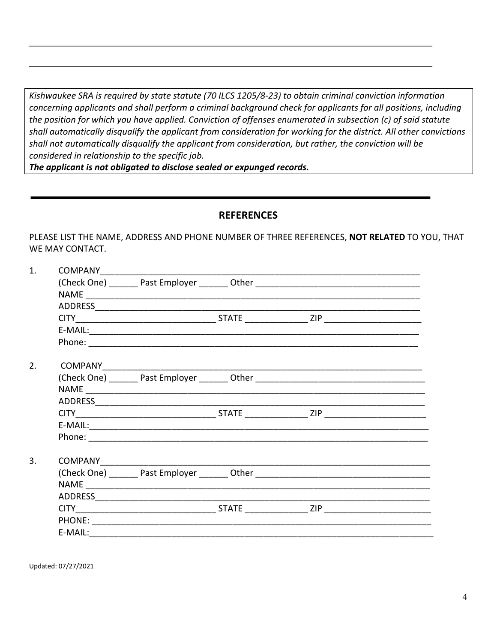*Kishwaukee SRA is required by state statute (70 ILCS 1205/8-23) to obtain criminal conviction information concerning applicants and shall perform a criminal background check for applicants for all positions, including the position for which you have applied. Conviction of offenses enumerated in subsection (c) of said statute shall automatically disqualify the applicant from consideration for working for the district. All other convictions shall not automatically disqualify the applicant from consideration, but rather, the conviction will be considered in relationship to the specific job.* 

*The applicant is not obligated to disclose sealed or expunged records.*

# **REFERENCES**

PLEASE LIST THE NAME, ADDRESS AND PHONE NUMBER OF THREE REFERENCES, **NOT RELATED** TO YOU, THAT WE MAY CONTACT.

| 1. |                  |  |  |
|----|------------------|--|--|
|    |                  |  |  |
|    |                  |  |  |
|    |                  |  |  |
|    |                  |  |  |
|    |                  |  |  |
|    |                  |  |  |
| 2. |                  |  |  |
|    |                  |  |  |
|    |                  |  |  |
|    |                  |  |  |
|    |                  |  |  |
|    |                  |  |  |
|    |                  |  |  |
| 3. | COMPANY ________ |  |  |
|    |                  |  |  |
|    |                  |  |  |
|    |                  |  |  |
|    |                  |  |  |
|    |                  |  |  |
|    |                  |  |  |
|    |                  |  |  |

Updated: 07/27/2021